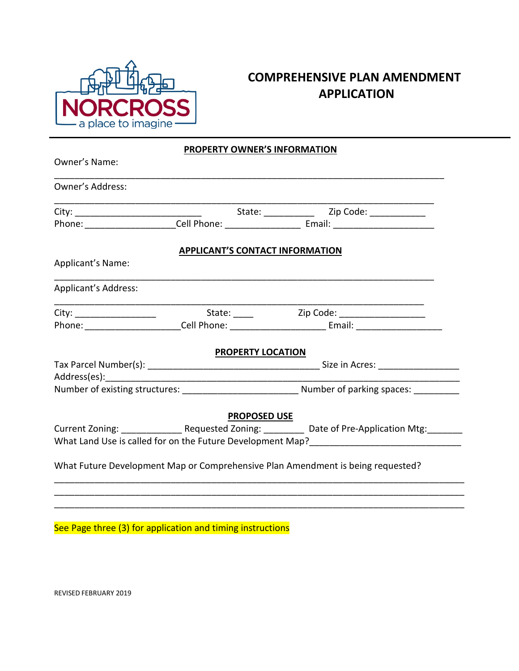

## **COMPREHENSIVE PLAN AMENDMENT APPLICATION**

## **PROPERTY OWNER'S INFORMATION**

| Owner's Name:               |                                        |                                                                                                      |  |
|-----------------------------|----------------------------------------|------------------------------------------------------------------------------------------------------|--|
| <b>Owner's Address:</b>     |                                        |                                                                                                      |  |
|                             |                                        |                                                                                                      |  |
|                             |                                        |                                                                                                      |  |
|                             | <b>APPLICANT'S CONTACT INFORMATION</b> |                                                                                                      |  |
| Applicant's Name:           |                                        |                                                                                                      |  |
| <b>Applicant's Address:</b> |                                        |                                                                                                      |  |
|                             |                                        |                                                                                                      |  |
|                             |                                        |                                                                                                      |  |
|                             | <b>PROPERTY LOCATION</b>               |                                                                                                      |  |
|                             |                                        |                                                                                                      |  |
|                             |                                        |                                                                                                      |  |
|                             |                                        |                                                                                                      |  |
|                             | <b>PROPOSED USE</b>                    |                                                                                                      |  |
|                             |                                        | Current Zoning: ________________Requested Zoning: ____________ Date of Pre-Application Mtg: ________ |  |
|                             |                                        |                                                                                                      |  |
|                             |                                        | What Future Development Map or Comprehensive Plan Amendment is being requested?                      |  |
|                             |                                        |                                                                                                      |  |

\_\_\_\_\_\_\_\_\_\_\_\_\_\_\_\_\_\_\_\_\_\_\_\_\_\_\_\_\_\_\_\_\_\_\_\_\_\_\_\_\_\_\_\_\_\_\_\_\_\_\_\_\_\_\_\_\_\_\_\_\_\_\_\_\_\_\_\_\_\_\_\_\_\_\_\_\_\_\_\_\_

See Page three (3) for application and timing instructions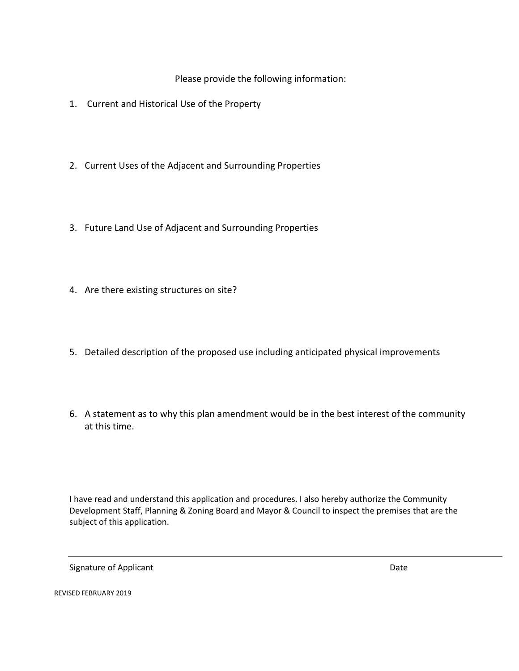Please provide the following information:

- 1. Current and Historical Use of the Property
- 2. Current Uses of the Adjacent and Surrounding Properties
- 3. Future Land Use of Adjacent and Surrounding Properties
- 4. Are there existing structures on site?
- 5. Detailed description of the proposed use including anticipated physical improvements
- 6. A statement as to why this plan amendment would be in the best interest of the community at this time.

I have read and understand this application and procedures. I also hereby authorize the Community Development Staff, Planning & Zoning Board and Mayor & Council to inspect the premises that are the subject of this application.

Signature of Applicant Date of Applicant Date of Applicant Date of Applicant Date of Applicant Date of Applicant Date of Applicant Date of Applicant Date of Applicant Date of Applicant Date of Applicant Date of Applicant D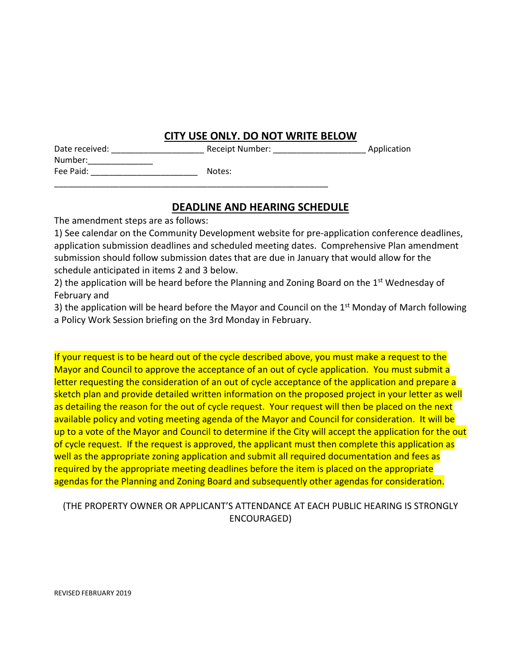## **CITY USE ONLY. DO NOT WRITE BELOW**

| Date received: | Receipt |
|----------------|---------|
| Number:        |         |
| Fee Paid:      | Notes:  |

\_\_\_\_\_\_\_\_\_\_\_\_\_\_\_\_\_\_\_\_\_\_\_\_\_\_\_\_\_\_\_\_\_\_\_\_\_\_\_\_\_\_\_\_\_\_\_\_\_\_\_\_\_\_\_\_\_\_\_

ot Number: example a proportion of  $\mathsf{Application}$ 

### **DEADLINE AND HEARING SCHEDULE**

The amendment steps are as follows:

1) See calendar on the Community Development website for pre-application conference deadlines, application submission deadlines and scheduled meeting dates. Comprehensive Plan amendment submission should follow submission dates that are due in January that would allow for the schedule anticipated in items 2 and 3 below.

2) the application will be heard before the Planning and Zoning Board on the 1<sup>st</sup> Wednesday of February and

3) the application will be heard before the Mayor and Council on the 1<sup>st</sup> Monday of March following a Policy Work Session briefing on the 3rd Monday in February.

If your request is to be heard out of the cycle described above, you must make a request to the Mayor and Council to approve the acceptance of an out of cycle application. You must submit a letter requesting the consideration of an out of cycle acceptance of the application and prepare a sketch plan and provide detailed written information on the proposed project in your letter as well as detailing the reason for the out of cycle request. Your request will then be placed on the next available policy and voting meeting agenda of the Mayor and Council for consideration. It will be up to a vote of the Mayor and Council to determine if the City will accept the application for the out of cycle request. If the request is approved, the applicant must then complete this application as well as the appropriate zoning application and submit all required documentation and fees as required by the appropriate meeting deadlines before the item is placed on the appropriate agendas for the Planning and Zoning Board and subsequently other agendas for consideration.

#### (THE PROPERTY OWNER OR APPLICANT'S ATTENDANCE AT EACH PUBLIC HEARING IS STRONGLY ENCOURAGED)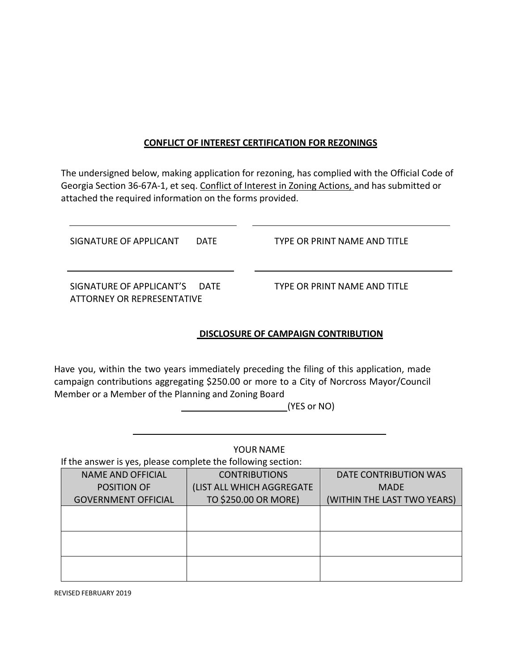#### **CONFLICT OF INTEREST CERTIFICATION FOR REZONINGS**

The undersigned below, making application for rezoning, has complied with the Official Code of Georgia Section 36-67A-1, et seq. Conflict of Interest in Zoning Actions, and has submitted or attached the required information on the forms provided.

| SIGNATURE OF APPLICANT                                      | <b>DATE</b> | TYPE OR PRINT NAME AND TITLE |
|-------------------------------------------------------------|-------------|------------------------------|
| SIGNATURE OF APPLICANT'S DATE<br>ATTORNEY OR REPRESENTATIVE |             | TYPE OR PRINT NAME AND TITLE |

#### **DISCLOSURE OF CAMPAIGN CONTRIBUTION**

Have you, within the two years immediately preceding the filing of this application, made campaign contributions aggregating \$250.00 or more to a City of Norcross Mayor/Council Member or a Member of the Planning and Zoning Board

(YES or NO)

YOUR NAME

If the answer is yes, please complete the following section:

| <b>NAME AND OFFICIAL</b>   | <b>CONTRIBUTIONS</b>      | DATE CONTRIBUTION WAS       |
|----------------------------|---------------------------|-----------------------------|
| POSITION OF                | (LIST ALL WHICH AGGREGATE | <b>MADE</b>                 |
| <b>GOVERNMENT OFFICIAL</b> | TO \$250.00 OR MORE)      | (WITHIN THE LAST TWO YEARS) |
|                            |                           |                             |
|                            |                           |                             |
|                            |                           |                             |
|                            |                           |                             |
|                            |                           |                             |
|                            |                           |                             |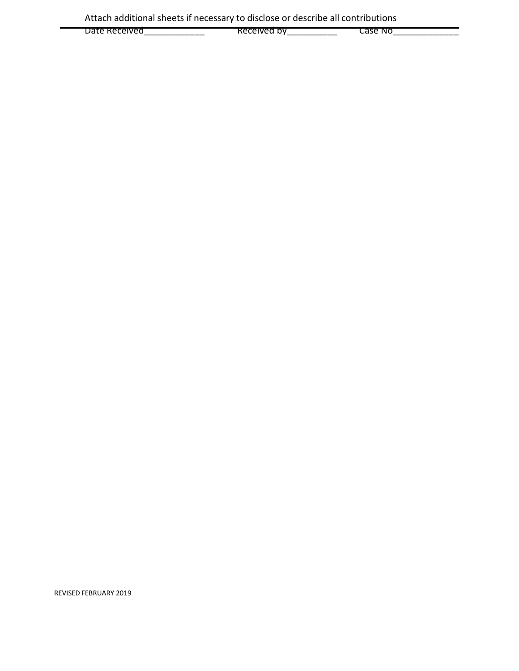| Date<br>Received | Received by | Case No |
|------------------|-------------|---------|
|                  |             |         |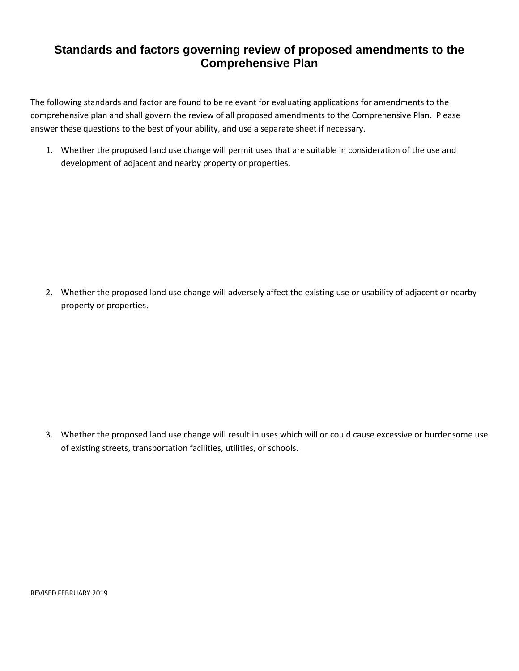## **Standards and factors governing review of proposed amendments to the Comprehensive Plan**

The following standards and factor are found to be relevant for evaluating applications for amendments to the comprehensive plan and shall govern the review of all proposed amendments to the Comprehensive Plan. Please answer these questions to the best of your ability, and use a separate sheet if necessary.

1. Whether the proposed land use change will permit uses that are suitable in consideration of the use and development of adjacent and nearby property or properties.

2. Whether the proposed land use change will adversely affect the existing use or usability of adjacent or nearby property or properties.

3. Whether the proposed land use change will result in uses which will or could cause excessive or burdensome use of existing streets, transportation facilities, utilities, or schools.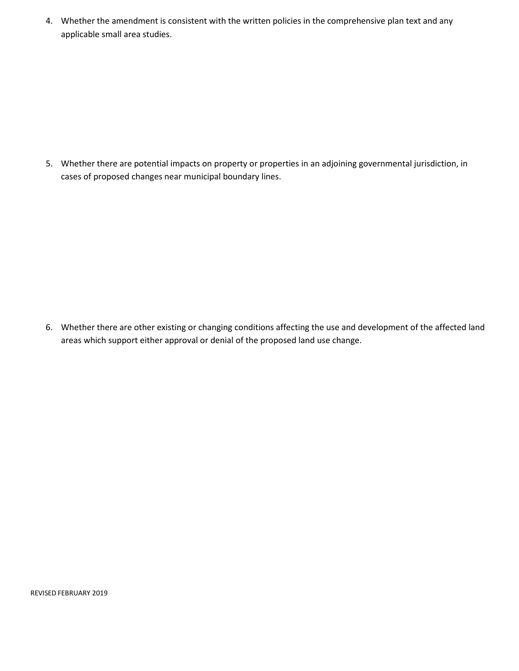4. Whether the amendment is consistent with the written policies in the comprehensive plan text and any applicable small area studies.

5. Whether there are potential impacts on property or properties in an adjoining governmental jurisdiction, in cases of proposed changes near municipal boundary lines.

6. Whether there are other existing or changing conditions affecting the use and development of the affected land areas which support either approval or denial of the proposed land use change.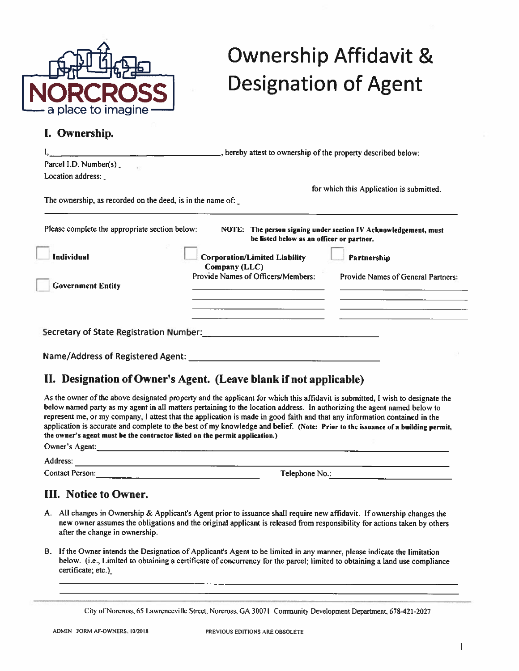

# **Ownership Affidavit & Designation of Agent**

### I. Ownership.

|                                                            | _, hereby attest to ownership of the property described below: |                                                                 |  |
|------------------------------------------------------------|----------------------------------------------------------------|-----------------------------------------------------------------|--|
| Parcel I.D. Number(s)                                      |                                                                |                                                                 |  |
| Location address:                                          |                                                                |                                                                 |  |
|                                                            |                                                                | for which this Application is submitted.                        |  |
| The ownership, as recorded on the deed, is in the name of: |                                                                |                                                                 |  |
| Please complete the appropriate section below:             | be listed below as an officer or partner.                      | NOTE: The person signing under section IV Acknowledgement, must |  |
| <b>Individual</b>                                          | <b>Corporation/Limited Liability</b>                           | Partnership                                                     |  |
|                                                            | Company (LLC)                                                  |                                                                 |  |
| <b>Government Entity</b>                                   | Provide Names of Officers/Members:                             | Provide Names of General Partners:                              |  |
|                                                            |                                                                |                                                                 |  |
|                                                            |                                                                |                                                                 |  |
| Secretary of State Registration Number:                    |                                                                |                                                                 |  |
| <b>Name/Address of Registered Agent:</b>                   |                                                                |                                                                 |  |

## II. Designation of Owner's Agent. (Leave blank if not applicable)

As the owner of the above designated property and the applicant for which this affidavit is submitted. I wish to designate the below named party as my agent in all matters pertaining to the location address. In authorizing the agent named below to represent me, or my company, I attest that the application is made in good faith and that any information contained in the application is accurate and complete to the best of my knowledge and belief. (Note: Prior to the issuance of a building permit. the owner's agent must be the contractor listed on the permit application.) Owner's Agent:

Address:

**Contact Person:** 

Telephone No.:

## **III.** Notice to Owner.

- A. All changes in Ownership & Applicant's Agent prior to issuance shall require new affidavit. If ownership changes the new owner assumes the obligations and the original applicant is released from responsibility for actions taken by others after the change in ownership.
- B. If the Owner intends the Designation of Applicant's Agent to be limited in any manner, please indicate the limitation below. (i.e., Limited to obtaining a certificate of concurrency for the parcel; limited to obtaining a land use compliance certificate; etc.)

City of Norcross, 65 Lawrenceville Street, Norcross, GA 30071 Community Development Department, 678-421-2027